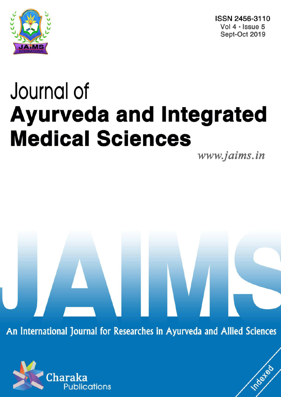

ISSN 2456-3110 Vol  $4 \cdot$  Issue 5 Sept-Oct 2019

# Journal of **Ayurveda and Integrated Medical Sciences**

www.jaims.in

Inderfed

An International Journal for Researches in Ayurveda and Allied Sciences

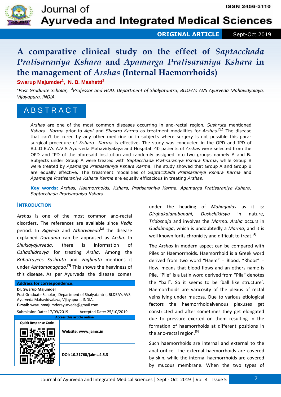

Journal of **Ayurveda and Integrated Medical Sciences** 

## **ORIGINAL ARTICLE** Sept-Oct 2019

# **A comparative clinical study on the effect of** *Saptacchada Pratisaraniya Kshara* **and** *Apamarga Pratisaraniya Kshara* **in the management of** *Arshas* **(Internal Haemorrhoids)**

**Swarup Majumder<sup>1</sup> , N. B. Mashetti<sup>2</sup>**

*1 Post Graduate Scholar, <sup>2</sup> Professor and HOD, Department of Shalyatantra, BLDEA's AVS Ayurveda Mahavidyalaya, Vijayapura, INDIA.* 

# A B S T R A C T

*Arshas* are one of the most common diseases occurring in ano-rectal region*. Sushruta* mentioned *Kshara Karma* prior to *Agni* and *Shastra Karma* as treatment modalities for *Arshas.***[1]** The disease that can't be cured by any other medicine or in subjects where surgery is not possible this parasurgical procedure of *Kshara Karma* is effective. The study was conducted in the OPD and IPD of B.L.D.E.A's A.V.S Ayurveda Mahavidyalaya and Hospital. 40 patients of *Arshas* were selected from the OPD and IPD of the aforesaid institution and randomly assigned into two groups namely A and B. Subjects under Group A were treated with *Saptacchada Pratisaraniya Kshara Karma*, while Group B were treated by *Apamarga Pratisaraniya Kshara Karma*. The study showed that Group A and Group B are equally effective. The treatment modalities of *Saptacchada Pratisaraniya Kshara Karma* and *Apamarga Pratisaraniya Kshara Karma* are equally efficacious in treating *Arshas*.

**Key words:** *Arshas, Haemorrhoids, Kshara, Pratisaraniya Karma, Apamarga Pratisaraniya Kshara, Saptacchada Pratisaraniya Kshara.*

#### **INTRODUCTION**

*Arshas* is one of the most common ano-rectal disorders. The references are available since *Vedic* period. In *Rigveda* and *Atharvaveda***[2]** the disease explained *Durnama* can be appraised as *Arsha*. In *Shuklayajurveda*, there is information of *Oshadhidravya* for treating *Arsha*. Among the *Brihatrayees Sushruta* and *Vagbhata* mentions it under *Ashtamahagada.***[3]** This shows the heaviness of this disease. As per Ayurveda the disease comes

#### **Address for correspondence: Dr. Swarup Majumder**

Post Graduate Scholar, Department of Shalyatantra, BLDEA's AVS Ayurveda Mahavidyalaya, Vijayapura, INDIA. **E-mail:** swarupmajumderayurveda@gmail.com

| Submission Date: 17/09/2019       |                       | Accepted Date: 25/10/2019 |
|-----------------------------------|-----------------------|---------------------------|
| <b>Access this article online</b> |                       |                           |
| <b>Quick Response Code</b>        |                       |                           |
|                                   | Website: www.jaims.in |                           |
|                                   |                       | DOI: 10.21760/jaims.4.5.3 |

under the heading of *Mahagadas* as it is: *Dirghakalanubandhi*, *Dushchikitsya* in nature, *Tridoshaja* and involves the *Marma*. *Arsha* occurs in *Gudabhaga*, which is undoubtedly a *Marma*, and it is well known forits chronicity and difficult to treat. **[4]**

The *Arshas* in modern aspect can be compared with Piles or Haemorrhoids. Haemorrhoid is a Greek word derived from two word "Haem" = Blood, "Rhoos" = flow, means that blood flows and an others name is Pile. "Pile" is a Latin word derived from "Pila" denotes the "ball". So it seems to be 'ball like structure'. Haemorrhoids are varicosity of the plexus of rectal veins lying under mucosa. Due to various etiological factors the haemorrhoidalvenous plexuses get constricted and after sometimes they get elongated due to pressure exerted on them resulting in the formation of haemorrhoids at different positions in the ano-rectal region.**[5]**

Such haemorrhoids are internal and external to the anal orifice. The external haemorrhoids are covered by skin, while the internal haemorrhoids are covered by mucous membrane. When the two types of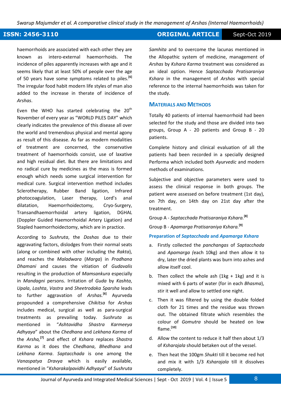*Swarup Majumder et al. A comparative clinical study in the management of Arshas (Internal Haemorrhoids)*

## **ISSN: 2456-3110 CONSERVERTIGE Sept-Oct 2019**

haemorrhoids are associated with each other they are known as intero-external haemorrhoids. The incidence of piles apparently increases with age and it seems likely that at least 50% of people over the age of 50 years have some symptoms related to piles.**[6]** The irregular food habit modern life styles of man also added to the increase in therate of incidence of *Arshas*.

Even the WHO has started celebrating the  $20<sup>th</sup>$ November of every year as "WORLD PILES DAY" which clearly indicates the prevalence of this disease all over the world and tremendous physical and mental agony as result of this disease. As far as modern modalities of treatment are concerned, the conservative treatment of haemorrhoids consist, use of laxative and high residual diet. But there are limitations and no radical cure by medicines as the mass is formed enough which needs some surgical intervention for medical cure. Surgical intervention method includes Sclerotherapy, Rubber Band ligation, Infrared photocoagulation, Laser therapy, Lord's anal dilatation, Haemorrhoidectomy, Cryo-Surgery, Transandhaemorrhoidal artery ligation, DGHAL (Doppler Guided Haemorrhoidal Artery Ligation) and Stapled haemorrhoidectomy, which are in practice.

According to *Sushruta*, the *Doshas* due to their aggravating factors, dislodges from their normal seats (along or combined with other including the *Rakta*), and reaches the *Maladwara* (*Marga*) in *Pradhana Dhamani* and causes the vitiation of *Gudavalis* resulting in the production of *Mamsankura* especially in *Mandagni* persons. Irritation of *Guda* by *Kashta*, *Upala*, *Loshta*, *Vastra* and *Sheetrodaka Sparsha* leads to further aggravation of *Arshas.***[6]** Ayurveda propounded a comprehensive *Chikitsa* for *Arshas* includes medical, surgical as well as para-surgical treatments as prevailing today. *Sushruta* as mentioned in "*Ashtavidha Shastra Karmeeya Adhyaya*" about the *Chedhana* and *Lekhana Karma* of the *Arsha,***[7]** and effect of *Kshara* replaces *Shastra Karma* as it does the *Chedhana*, *Bhedhana* and *Lekhana Karma*. *Saptacchada* is one among the *Vanaspatya Dravya* which is easily available, mentioned in "*Ksharakalpavidhi Adhyaya*" of *Sushruta*  *Samhita* and to overcome the lacunas mentioned in the Allopathic system of medicine, management of *Arshas* by *Kshara Karma* treatment was considered as an ideal option. Hence *Saptacchada Pratisaraniya Kshara* in the management of *Arshas* with special reference to the internal haemorrhoids was taken for the study.

### **MATERIALS AND METHODS**

Totally 40 patients of internal haemorrhoid had been selected for the study and those are divided into two groups, Group A - 20 patients and Group B - 20 patients.

Complete history and clinical evaluation of all the patients had been recorded in a specially designed Performa which included both *Ayurvedic* and modern methods of examinations.

Subjective and objective parameters were used to assess the clinical response in both groups. The patient were assessed on before treatment (1st day), on 7th day, on 14th day on 21st day after the treatment.

Group A - *Saptacchada Pratisaraniya Kshara.***[8]**

Group B - *Apamarga Pratisaraniya Kshara.***[9]** 

#### **Preparation of** *Saptacchada* **and** *Apamarga Kshara*

- a. Firstly collected the *panchangas* of *Saptacchada*  and *Apamarga (*each 10kg) and then allow it to dry, later the dried plants was burn into ashes and allow itself cool.
- b. Then collect the whole ash  $(1kg + 1kg)$  and it is mixed with 6 parts of water (for in each *Bhasma*), stir it well and allow to settled one night.
- c. Then it was filtered by using the double folded cloth for 21 times and the residue was thrown out. The obtained filtrate which resembles the colour of *Gomutra* should be heated on low flame.**[10]**
- d. Allow the content to reduce it half then about 1/3 of *Ksharajala* should betaken out of the vessel.
- e. Then heat the 100gm *Shukti* till it become red hot and mix it with 1/3 *Ksharajala* till it dissolves completely.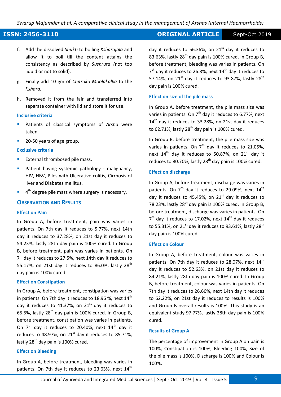*Swarup Majumder et al. A comparative clinical study in the management of Arshas (Internal Haemorrhoids)*

# **ISSN: 2456-3110 CONSERVERTIGE Sept-Oct 2019**

- f. Add the dissolved *Shukti* to boiling *Ksharajala* and allow it to boil till the content attains the consistency as described by *Sushruta (*not too liquid or not to solid).
- g. Finally add 10 gm of *Chitraka Moolakalka* to the *Kshara.*
- h. Removed it from the fair and transferred into separate container with lid and store it for use.

#### **Inclusive criteria**

- Patients of classical symptoms of *Arsha* were taken.
- 20-50 years of age group.

#### **Exclusive criteria**

- External thrombosed pile mass.
- Patient having systemic pathology malignancy, HIV, HBV, Piles with Ulcerative colitis, Cirrhosis of liver and Diabetes mellitus.
- $\blacksquare$  4<sup>th</sup> degree pile mass where surgery is necessary.

#### **OBSERVATION AND RESULTS**

#### **Effect on Pain**

In Group A, before treatment, pain was varies in patients. On 7th day it reduces to 5.77%, next 14th day it reduces to 37.28%, on 21st day it reduces to 54.23%, lastly 28th day pain is 100% cured. In Group B, before treatment, pain was varies in patients. On 7<sup>th</sup> day it reduces to 27.5%, next 14th day it reduces to 55.17%, on 21st day it reduces to 86.0%, lastly  $28^{th}$ day pain is 100% cured.

#### **Effect on Constipation**

In Group A, before treatment, constipation was varies in patients. On 7th day it reduces to 18.96 %, next  $14<sup>th</sup>$ day it reduces to 41.37%, on  $21<sup>st</sup>$  day it reduces to 65.5%, lastly  $28<sup>th</sup>$  day pain is 100% cured. In Group B, before treatment, constipation was varies in patients. On  $7<sup>th</sup>$  day it reduces to 20.40%, next  $14<sup>th</sup>$  day it reduces to 48.97%, on  $21<sup>st</sup>$  day it reduces to 85.71%. lastly  $28<sup>th</sup>$  day pain is 100% cured.

#### **Effect on Bleeding**

In Group A, before treatment, bleeding was varies in patients. On 7th day it reduces to 23.63%, next  $14<sup>th</sup>$  day it reduces to 56.36%, on  $21<sup>st</sup>$  day it reduces to 83.63%, lastly  $28<sup>th</sup>$  day pain is 100% cured. In Group B, before treatment, bleeding was varies in patients. On  $7<sup>th</sup>$  day it reduces to 26.8%, next 14<sup>th</sup> day it reduces to 57.14%, on  $21^{\text{st}}$  day it reduces to 93.87%, lastly  $28^{\text{th}}$ day pain is 100% cured.

#### **Effect on size of the pile mass**

In Group A, before treatment, the pile mass size was varies in patients. On  $7<sup>th</sup>$  day it reduces to 6.77%, next 14<sup>th</sup> day it reduces to 33.28%, on 21st day it reduces to 62.71%, lastly  $28<sup>th</sup>$  day pain is 100% cured.

In Group B, before treatment, the pile mass size was varies in patients. On  $7<sup>th</sup>$  day it reduces to 21.05%, next  $14<sup>th</sup>$  day it reduces to 50.87%, on  $21<sup>st</sup>$  day it reduces to 80.70%, lastly  $28<sup>th</sup>$  day pain is 100% cured.

#### **Effect on discharge**

In Group A, before treatment, discharge was varies in patients. On  $7<sup>th</sup>$  day it reduces to 29.09%, next  $14<sup>th</sup>$ day it reduces to 45.45%, on  $21<sup>st</sup>$  day it reduces to 78.23%, lastly 28<sup>th</sup> day pain is 100% cured. In Group B, before treatment, discharge was varies in patients. On  $7<sup>th</sup>$  day it reduces to 17.02%, next 14<sup>th</sup> day it reduces to 55.31%, on 21 $^{\rm st}$  day it reduces to 93.61%, lastly 28<sup>th</sup> day pain is 100% cured.

#### **Effect on Colour**

In Group A, before treatment, colour was varies in patients. On 7th day it reduces to 28.07%, next  $14<sup>th</sup>$ day it reduces to 52.63%, on 21st day it reduces to 84.21%, lastly 28th day pain is 100% cured. In Group B, before treatment, colour was varies in patients. On 7th day it reduces to 26.66%, next 14th day it reduces to 62.22%, on 21st day it reduces to results is 100% and Group B overall results is 100%. This study is an equivalent study 97.77%, lastly 28th day pain is 100% cured.

#### **Results of Group A**

The percentage of improvement in Group A on pain is 100%, Constipation is 100%, Bleeding 100%, Size of the pile mass is 100%, Discharge is 100% and Colour is 100%.